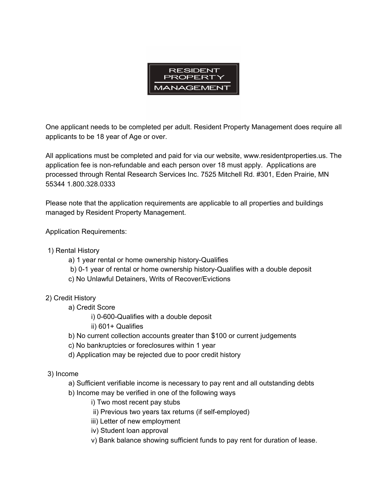

One applicant needs to be completed per adult. Resident Property Management does require all applicants to be 18 year of Age or over.

All applications must be completed and paid for via our website, www.residentproperties.us. The application fee is non-refundable and each person over 18 must apply. Applications are processed through Rental Research Services Inc. 7525 Mitchell Rd. #301, Eden Prairie, MN 55344 1.800.328.0333

Please note that the application requirements are applicable to all properties and buildings managed by Resident Property Management.

Application Requirements:

- 1) Rental History
	- a) 1 year rental or home ownership history-Qualifies
	- b) 0-1 year of rental or home ownership history-Qualifies with a double deposit
	- c) No Unlawful Detainers, Writs of Recover/Evictions
- 2) Credit History
	- a) Credit Score
		- i) 0-600-Qualifies with a double deposit
		- ii) 601+ Qualifies
	- b) No current collection accounts greater than \$100 or current judgements
	- c) No bankruptcies or foreclosures within 1 year
	- d) Application may be rejected due to poor credit history
- 3) Income
	- a) Sufficient verifiable income is necessary to pay rent and all outstanding debts
	- b) Income may be verified in one of the following ways
		- i) Two most recent pay stubs
		- ii) Previous two years tax returns (if self-employed)
		- iii) Letter of new employment
		- iv) Student loan approval
		- v) Bank balance showing sufficient funds to pay rent for duration of lease.